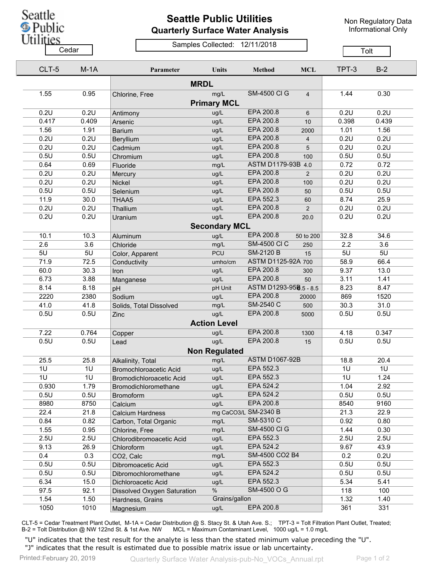## **Seattle Public Utilities Quarterly Surface Water Analysis**

Non Regulatory Data Informational Only

## Samples Collected: 12/11/2018 Cedar **Cedar** Compression Contract Company Tolt

|             | CLT-5 | $M-1A$ | Parameter                   | <b>Units</b>         | <b>Method</b>          | <b>MCL</b>     | TPT-3 | $B-2$ |  |  |  |
|-------------|-------|--------|-----------------------------|----------------------|------------------------|----------------|-------|-------|--|--|--|
| <b>MRDL</b> |       |        |                             |                      |                        |                |       |       |  |  |  |
|             | 1.55  | 0.95   | Chlorine, Free              | mg/L                 | <b>SM-4500 CI G</b>    | $\overline{4}$ | 1.44  | 0.30  |  |  |  |
|             |       |        |                             | <b>Primary MCL</b>   |                        |                |       |       |  |  |  |
|             | 0.2U  | 0.2U   |                             | ug/L                 | EPA 200.8              | 6              | 0.2U  | 0.2U  |  |  |  |
|             | 0.417 | 0.409  | Antimony<br>Arsenic         | ug/L                 | EPA 200.8              | 10             | 0.398 | 0.439 |  |  |  |
|             | 1.56  | 1.91   | <b>Barium</b>               | ug/L                 | EPA 200.8              | 2000           | 1.01  | 1.56  |  |  |  |
|             | 0.2U  | 0.2U   | Beryllium                   | ug/L                 | EPA 200.8              | 4              | 0.2U  | 0.2U  |  |  |  |
|             | 0.2U  | 0.2U   | Cadmium                     | ug/L                 | EPA 200.8              | 5              | 0.2U  | 0.2U  |  |  |  |
|             | 0.5U  | 0.5U   | Chromium                    | ug/L                 | <b>EPA 200.8</b>       | 100            | 0.5U  | 0.5U  |  |  |  |
|             | 0.64  | 0.69   | Fluoride                    | mg/L                 | ASTM D1179-93B 4.0     |                | 0.72  | 0.72  |  |  |  |
|             | 0.2U  | 0.2U   |                             | ug/L                 | EPA 200.8              | 2              | 0.2U  | 0.2U  |  |  |  |
|             | 0.2U  | 0.2U   | Mercury<br>Nickel           | ug/L                 | EPA 200.8              | 100            | 0.2U  | 0.2U  |  |  |  |
|             | 0.5U  | 0.5U   | Selenium                    | ug/L                 | EPA 200.8              | 50             | 0.5U  | 0.5U  |  |  |  |
|             | 11.9  | 30.0   | THAA5                       | ug/L                 | EPA 552.3              | 60             | 8.74  | 25.9  |  |  |  |
|             | 0.2U  | 0.2U   |                             | ug/L                 | <b>EPA 200.8</b>       | 2              | 0.2U  | 0.2U  |  |  |  |
|             | 0.2U  | 0.2U   | Thallium                    |                      | EPA 200.8              |                | 0.2U  | 0.2U  |  |  |  |
|             |       |        | Uranium                     | ug/L                 |                        | 20.0           |       |       |  |  |  |
|             |       |        |                             | <b>Secondary MCL</b> |                        |                |       |       |  |  |  |
|             | 10.1  | 10.3   | Aluminum                    | ug/L                 | <b>EPA 200.8</b>       | 50 to 200      | 32.8  | 34.6  |  |  |  |
|             | 2.6   | 3.6    | Chloride                    | mg/L                 | <b>SM-4500 CI C</b>    | 250            | 2.2   | 3.6   |  |  |  |
|             | 5U    | 5U     | Color, Apparent             | PCU                  | <b>SM-2120 B</b>       | 15             | 5U    | 5U    |  |  |  |
|             | 71.9  | 72.5   | Conductivity                | umho/cm              | ASTM D1125-92A 700     |                | 58.9  | 66.4  |  |  |  |
|             | 60.0  | 30.3   | Iron                        | ug/L                 | EPA 200.8              | 300            | 9.37  | 13.0  |  |  |  |
|             | 6.73  | 3.88   | Manganese                   | ug/L                 | EPA 200.8              | 50             | 3.11  | 1.41  |  |  |  |
|             | 8.14  | 8.18   | pH                          | pH Unit              | ASTM D1293-958.5 - 8.5 |                | 8.23  | 8.47  |  |  |  |
|             | 2220  | 2380   | Sodium                      | ug/L                 | EPA 200.8              | 20000          | 869   | 1520  |  |  |  |
|             | 41.0  | 41.8   | Solids, Total Dissolved     | mg/L                 | SM-2540 C              | 500            | 30.3  | 31.0  |  |  |  |
|             | 0.5U  | 0.5U   | Zinc                        | ug/L                 | EPA 200.8              | 5000           | 0.5U  | 0.5U  |  |  |  |
|             |       |        |                             | <b>Action Level</b>  |                        |                |       |       |  |  |  |
|             | 7.22  | 0.764  | Copper                      | ug/L                 | EPA 200.8              | 1300           | 4.18  | 0.347 |  |  |  |
|             | 0.5U  | 0.5U   | Lead                        | ug/L                 | EPA 200.8              | 15             | 0.5U  | 0.5U  |  |  |  |
|             |       |        |                             | <b>Non Regulated</b> |                        |                |       |       |  |  |  |
|             | 25.5  | 25.8   | Alkalinity, Total           | mg/L                 | <b>ASTM D1067-92B</b>  |                | 18.8  | 20.4  |  |  |  |
|             | 1U    | 1U     | Bromochloroacetic Acid      | ug/L                 | EPA 552.3              |                | 1U    | 1U    |  |  |  |
|             | 1U    | 1U     | Bromodichloroacetic Acid    | ug/L                 | EPA 552.3              |                | 1U    | 1.24  |  |  |  |
|             | 0.930 | 1.79   | Bromodichloromethane        | ug/L                 | EPA 524.2              |                | 1.04  | 2.92  |  |  |  |
|             | 0.5U  | 0.5U   | <b>Bromoform</b>            | ug/L                 | EPA 524.2              |                | 0.5U  | 0.5U  |  |  |  |
|             | 8980  | 8750   | Calcium                     | ug/L                 | EPA 200.8              |                | 8540  | 9160  |  |  |  |
|             | 22.4  | 21.8   | <b>Calcium Hardness</b>     |                      | mg CaCO3/L SM-2340 B   |                | 21.3  | 22.9  |  |  |  |
|             | 0.84  | 0.82   | Carbon, Total Organic       | mg/L                 | SM-5310 C              |                | 0.92  | 0.80  |  |  |  |
|             | 1.55  | 0.95   | Chlorine, Free              | mg/L                 | <b>SM-4500 CI G</b>    |                | 1.44  | 0.30  |  |  |  |
|             | 2.5U  | 2.5U   | Chlorodibromoacetic Acid    | ug/L                 | EPA 552.3              |                | 2.5U  | 2.5U  |  |  |  |
|             | 9.13  | 26.9   | Chloroform                  | ug/L                 | EPA 524.2              |                | 9.67  | 43.9  |  |  |  |
|             | 0.4   | 0.3    | CO2, Calc                   | mg/L                 | SM-4500 CO2 B4         |                | 0.2   | 0.2U  |  |  |  |
|             | 0.5U  | 0.5U   | Dibromoacetic Acid          | ug/L                 | EPA 552.3              |                | 0.5U  | 0.5U  |  |  |  |
|             | 0.5U  | 0.5U   | Dibromochloromethane        | ug/L                 | EPA 524.2              |                | 0.5U  | 0.5U  |  |  |  |
|             | 6.34  | 15.0   | Dichloroacetic Acid         | ug/L                 | EPA 552.3              |                | 5.34  | 5.41  |  |  |  |
|             | 97.5  | 92.1   | Dissolved Oxygen Saturation | $\%$                 | SM-4500 O G            |                | 118   | 100   |  |  |  |
|             | 1.54  | 1.50   | Hardness, Grains            | Grains/gallon        |                        |                | 1.32  | 1.40  |  |  |  |
|             | 1050  | 1010   | Magnesium                   | ug/L                 | EPA 200.8              |                | 361   | 331   |  |  |  |
|             |       |        |                             |                      |                        |                |       |       |  |  |  |

CLT-5 = Cedar Treatment Plant Outlet, M-1A = Cedar Distribution @ S. Stacy St. & Utah Ave. S.; TPT-3 = Tolt Filtration Plant Outlet, Treated; B-2 = Tolt Distribution @ NW 122nd St. & 1st Ave. NW MCL = Maximum Contaminant Level, 1000 ug/L = 1.0 mg/L

"U" indicates that the test result for the analyte is less than the stated minimum value preceding the "U". "J" indicates that the result is estimated due to possible matrix issue or lab uncertainty.